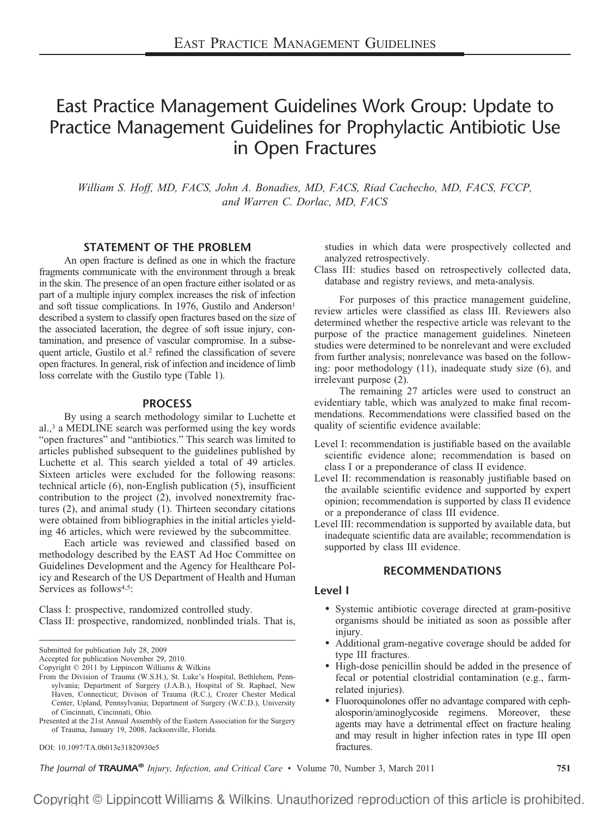# East Practice Management Guidelines Work Group: Update to Practice Management Guidelines for Prophylactic Antibiotic Use in Open Fractures

*William S. Hoff, MD, FACS, John A. Bonadies, MD, FACS, Riad Cachecho, MD, FACS, FCCP, and Warren C. Dorlac, MD, FACS*

#### **STATEMENT OF THE PROBLEM**

An open fracture is defined as one in which the fracture fragments communicate with the environment through a break in the skin. The presence of an open fracture either isolated or as part of a multiple injury complex increases the risk of infection and soft tissue complications. In 1976, Gustilo and Anderson<sup>1</sup> described a system to classify open fractures based on the size of the associated laceration, the degree of soft issue injury, contamination, and presence of vascular compromise. In a subsequent article, Gustilo et al.2 refined the classification of severe open fractures. In general, risk of infection and incidence of limb loss correlate with the Gustilo type (Table 1).

#### **PROCESS**

By using a search methodology similar to Luchette et al.,3 a MEDLINE search was performed using the key words "open fractures" and "antibiotics." This search was limited to articles published subsequent to the guidelines published by Luchette et al. This search yielded a total of 49 articles. Sixteen articles were excluded for the following reasons: technical article (6), non-English publication (5), insufficient contribution to the project (2), involved nonextremity fractures (2), and animal study (1). Thirteen secondary citations were obtained from bibliographies in the initial articles yielding 46 articles, which were reviewed by the subcommittee.

Each article was reviewed and classified based on methodology described by the EAST Ad Hoc Committee on Guidelines Development and the Agency for Healthcare Policy and Research of the US Department of Health and Human Services as follows<sup>4,5</sup>:

Class I: prospective, randomized controlled study. Class II: prospective, randomized, nonblinded trials. That is,

Submitted for publication July 28, 2009

Accepted for publication November 29, 2010.

DOI: 10.1097/TA.0b013e31820930e5

studies in which data were prospectively collected and analyzed retrospectively.

Class III: studies based on retrospectively collected data, database and registry reviews, and meta-analysis.

For purposes of this practice management guideline, review articles were classified as class III. Reviewers also determined whether the respective article was relevant to the purpose of the practice management guidelines. Nineteen studies were determined to be nonrelevant and were excluded from further analysis; nonrelevance was based on the following: poor methodology (11), inadequate study size (6), and irrelevant purpose (2).

The remaining 27 articles were used to construct an evidentiary table, which was analyzed to make final recommendations. Recommendations were classified based on the quality of scientific evidence available:

- Level I: recommendation is justifiable based on the available scientific evidence alone; recommendation is based on class I or a preponderance of class II evidence.
- Level II: recommendation is reasonably justifiable based on the available scientific evidence and supported by expert opinion; recommendation is supported by class II evidence or a preponderance of class III evidence.
- Level III: recommendation is supported by available data, but inadequate scientific data are available; recommendation is supported by class III evidence.

## **RECOMMENDATIONS**

#### **Level I**

- Systemic antibiotic coverage directed at gram-positive organisms should be initiated as soon as possible after injury.
- Additional gram-negative coverage should be added for type III fractures.
- High-dose penicillin should be added in the presence of fecal or potential clostridial contamination (e.g., farmrelated injuries).
- Fluoroquinolones offer no advantage compared with cephalosporin/aminoglycoside regimens. Moreover, these agents may have a detrimental effect on fracture healing and may result in higher infection rates in type III open fractures.

*The Journal of TRAUMA® Injury, Infection, and Critical Care* • Volume 70, Number 3, March 2011 **751**

Copyright © Lippincott Williams & Wilkins. Unauthorized reproduction of this article is prohibited.

Copyright © 2011 by Lippincott Williams & Wilkins

From the Division of Trauma (W.S.H.), St. Luke's Hospital, Bethlehem, Pennsylvania; Department of Surgery (J.A.B.), Hospital of St. Raphael, New Haven, Connecticut; Divison of Trauma (R.C.), Crozer Chester Medical Center, Upland, Pennsylvania; Department of Surgery (W.C.D.), University of Cincinnati, Cincinnati, Ohio.

Presented at the 21st Annual Assembly of the Eastern Association for the Surgery of Trauma, January 19, 2008, Jacksonville, Florida.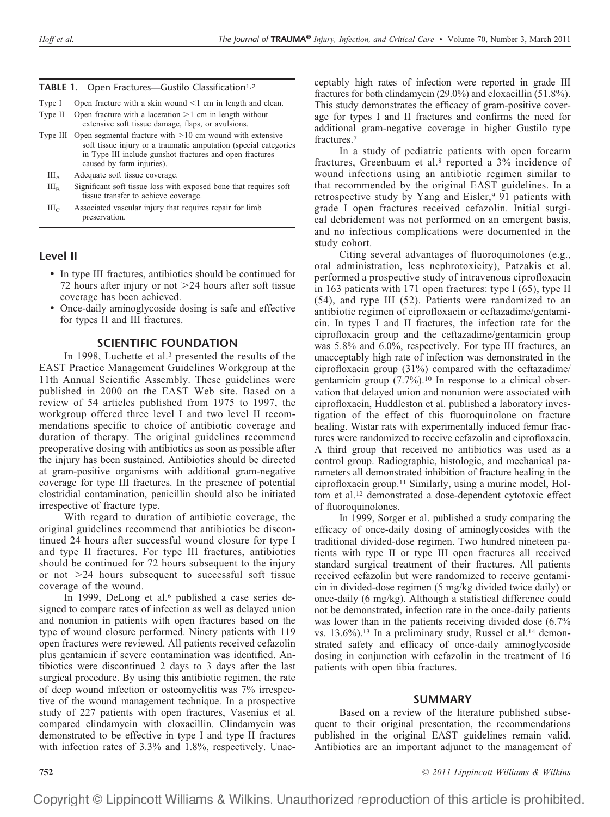#### **TABLE 1.** Open Fractures—Gustilo Classification<sup>1,2</sup>

| Type I | Open fracture with a skin wound $\leq 1$ cm in length and clean. |  |  |
|--------|------------------------------------------------------------------|--|--|

Type II Open fracture with a laceration  $>1$  cm in length without extensive soft tissue damage, flaps, or avulsions. Type III Open segmental fracture with  $>10$  cm wound with extensive soft tissue injury or a traumatic amputation (special categories in Type III include gunshot fractures and open fractures caused by farm injuries). IIIA Adequate soft tissue coverage.

 $III<sub>B</sub>$  Significant soft tissue loss with exposed bone that requires soft tissue transfer to achieve coverage.

## **Level II**

- In type III fractures, antibiotics should be continued for 72 hours after injury or not  $>$  24 hours after soft tissue coverage has been achieved.
- Once-daily aminoglycoside dosing is safe and effective for types II and III fractures.

# **SCIENTIFIC FOUNDATION**

In 1998, Luchette et al.3 presented the results of the EAST Practice Management Guidelines Workgroup at the 11th Annual Scientific Assembly. These guidelines were published in 2000 on the EAST Web site. Based on a review of 54 articles published from 1975 to 1997, the workgroup offered three level I and two level II recommendations specific to choice of antibiotic coverage and duration of therapy. The original guidelines recommend preoperative dosing with antibiotics as soon as possible after the injury has been sustained. Antibiotics should be directed at gram-positive organisms with additional gram-negative coverage for type III fractures. In the presence of potential clostridial contamination, penicillin should also be initiated irrespective of fracture type.

With regard to duration of antibiotic coverage, the original guidelines recommend that antibiotics be discontinued 24 hours after successful wound closure for type I and type II fractures. For type III fractures, antibiotics should be continued for 72 hours subsequent to the injury or not  $>24$  hours subsequent to successful soft tissue coverage of the wound.

In 1999, DeLong et al.<sup>6</sup> published a case series designed to compare rates of infection as well as delayed union and nonunion in patients with open fractures based on the type of wound closure performed. Ninety patients with 119 open fractures were reviewed. All patients received cefazolin plus gentamicin if severe contamination was identified. Antibiotics were discontinued 2 days to 3 days after the last surgical procedure. By using this antibiotic regimen, the rate of deep wound infection or osteomyelitis was 7% irrespective of the wound management technique. In a prospective study of 227 patients with open fractures, Vasenius et al. compared clindamycin with cloxacillin. Clindamycin was demonstrated to be effective in type I and type II fractures with infection rates of 3.3% and 1.8%, respectively. Unacceptably high rates of infection were reported in grade III fractures for both clindamycin (29.0%) and cloxacillin (51.8%). This study demonstrates the efficacy of gram-positive coverage for types I and II fractures and confirms the need for additional gram-negative coverage in higher Gustilo type fractures.7

In a study of pediatric patients with open forearm fractures, Greenbaum et al.8 reported a 3% incidence of wound infections using an antibiotic regimen similar to that recommended by the original EAST guidelines. In a retrospective study by Yang and Eisler,<sup>9</sup> 91 patients with grade I open fractures received cefazolin. Initial surgical debridement was not performed on an emergent basis, and no infectious complications were documented in the study cohort.

Citing several advantages of fluoroquinolones (e.g., oral administration, less nephrotoxicity), Patzakis et al. performed a prospective study of intravenous ciprofloxacin in 163 patients with 171 open fractures: type I (65), type II (54), and type III (52). Patients were randomized to an antibiotic regimen of ciprofloxacin or ceftazadime/gentamicin. In types I and II fractures, the infection rate for the ciprofloxacin group and the ceftazadime/gentamicin group was 5.8% and 6.0%, respectively. For type III fractures, an unacceptably high rate of infection was demonstrated in the ciprofloxacin group (31%) compared with the ceftazadime/ gentamicin group (7.7%).10 In response to a clinical observation that delayed union and nonunion were associated with ciprofloxacin, Huddleston et al. published a laboratory investigation of the effect of this fluoroquinolone on fracture healing. Wistar rats with experimentally induced femur fractures were randomized to receive cefazolin and ciprofloxacin. A third group that received no antibiotics was used as a control group. Radiographic, histologic, and mechanical parameters all demonstrated inhibition of fracture healing in the ciprofloxacin group.11 Similarly, using a murine model, Holtom et al.12 demonstrated a dose-dependent cytotoxic effect of fluoroquinolones.

In 1999, Sorger et al. published a study comparing the efficacy of once-daily dosing of aminoglycosides with the traditional divided-dose regimen. Two hundred nineteen patients with type II or type III open fractures all received standard surgical treatment of their fractures. All patients received cefazolin but were randomized to receive gentamicin in divided-dose regimen (5 mg/kg divided twice daily) or once-daily (6 mg/kg). Although a statistical difference could not be demonstrated, infection rate in the once-daily patients was lower than in the patients receiving divided dose (6.7% vs. 13.6%).<sup>13</sup> In a preliminary study, Russel et al.<sup>14</sup> demonstrated safety and efficacy of once-daily aminoglycoside dosing in conjunction with cefazolin in the treatment of 16 patients with open tibia fractures.

## **SUMMARY**

Based on a review of the literature published subsequent to their original presentation, the recommendations published in the original EAST guidelines remain valid. Antibiotics are an important adjunct to the management of

III<sub>C</sub> Associated vascular injury that requires repair for limb preservation.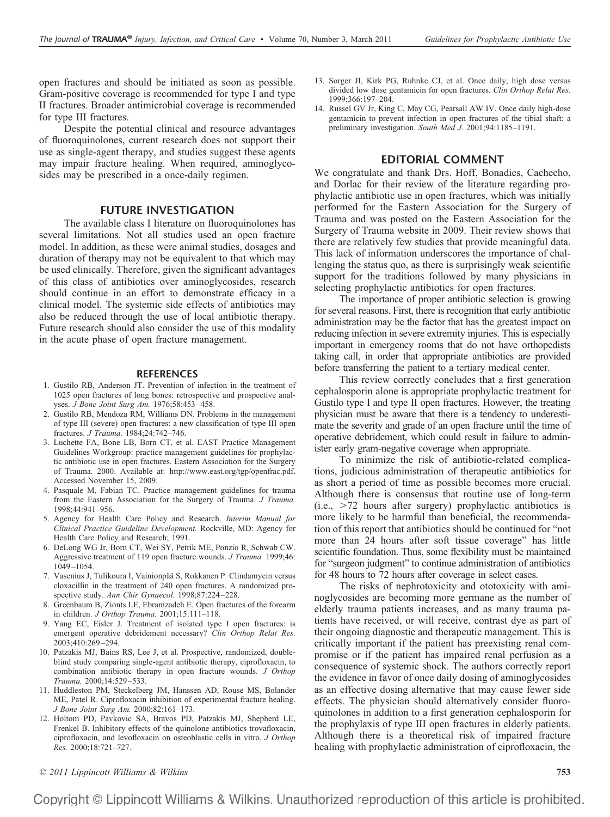open fractures and should be initiated as soon as possible. Gram-positive coverage is recommended for type I and type II fractures. Broader antimicrobial coverage is recommended for type III fractures.

Despite the potential clinical and resource advantages of fluoroquinolones, current research does not support their use as single-agent therapy, and studies suggest these agents may impair fracture healing. When required, aminoglycosides may be prescribed in a once-daily regimen.

# **FUTURE INVESTIGATION**

The available class I literature on fluoroquinolones has several limitations. Not all studies used an open fracture model. In addition, as these were animal studies, dosages and duration of therapy may not be equivalent to that which may be used clinically. Therefore, given the significant advantages of this class of antibiotics over aminoglycosides, research should continue in an effort to demonstrate efficacy in a clinical model. The systemic side effects of antibiotics may also be reduced through the use of local antibiotic therapy. Future research should also consider the use of this modality in the acute phase of open fracture management.

#### **REFERENCES**

- 1. Gustilo RB, Anderson JT. Prevention of infection in the treatment of 1025 open fractures of long bones: retrospective and prospective analyses. *J Bone Joint Surg Am.* 1976;58:453– 458.
- 2. Gustilo RB, Mendoza RM, Williams DN. Problems in the management of type III (severe) open fractures: a new classification of type III open fractures. *J Trauma.* 1984;24:742–746.
- 3. Luchette FA, Bone LB, Born CT, et al. EAST Practice Management Guidelines Workgroup: practice management guidelines for prophylactic antibiotic use in open fractures. Eastern Association for the Surgery of Trauma. 2000. Available at: http://www.east.org/tgp/openfrac.pdf. Accessed November 15, 2009.
- 4. Pasquale M, Fabian TC. Practice management guidelines for trauma from the Eastern Association for the Surgery of Trauma. *J Trauma.* 1998;44:941–956.
- 5. Agency for Health Care Policy and Research. *Interim Manual for Clinical Practice Guideline Development.* Rockville, MD: Agency for Health Care Policy and Research; 1991.
- 6. DeLong WG Jr, Born CT, Wei SY, Petrik ME, Ponzio R, Schwab CW. Aggressive treatment of 119 open fracture wounds. *J Trauma.* 1999;46: 1049 –1054.
- 7. Vasenius J, Tulikoura I, Vainionpää S, Rokkanen P. Clindamycin versus cloxacillin in the treatment of 240 open fractures. A randomized prospective study. *Ann Chir Gynaecol.* 1998;87:224 –228.
- 8. Greenbaum B, Zionts LE, Ebramzadeh E. Open fractures of the forearm in children. *J Orthop Trauma.* 2001;15:111–118.
- 9. Yang EC, Eisler J. Treatment of isolated type I open fractures: is emergent operative debridement necessary? *Clin Orthop Relat Res.* 2003;410:269 –294.
- 10. Patzakis MJ, Bains RS, Lee J, et al. Prospective, randomized, doubleblind study comparing single-agent antibiotic therapy, ciprofloxacin, to combination antibiotic therapy in open fracture wounds. *J Orthop Trauma.* 2000;14:529 –533.
- 11. Huddleston PM, Steckelberg JM, Hanssen AD, Rouse MS, Bolander ME, Patel R. Ciprofloxacin inhibition of experimental fracture healing. *J Bone Joint Surg Am.* 2000;82:161–173.
- 12. Holtom PD, Pavkovic SA, Bravos PD, Patzakis MJ, Shepherd LE, Frenkel B. Inhibitory effects of the quinolone antibiotics trovafloxacin, ciprofloxacin, and levofloxacin on osteoblastic cells in vitro. *J Orthop Res.* 2000;18:721–727.
- 13. Sorger JI, Kirk PG, Ruhnke CJ, et al. Once daily, high dose versus divided low dose gentamicin for open fractures. *Clin Orthop Relat Res.* 1999;366:197–204.
- 14. Russel GV Jr, King C, May CG, Pearsall AW IV. Once daily high-dose gentamicin to prevent infection in open fractures of the tibial shaft: a preliminary investigation. *South Med J.* 2001;94:1185–1191.

#### **EDITORIAL COMMENT**

We congratulate and thank Drs. Hoff, Bonadies, Cachecho, and Dorlac for their review of the literature regarding prophylactic antibiotic use in open fractures, which was initially performed for the Eastern Association for the Surgery of Trauma and was posted on the Eastern Association for the Surgery of Trauma website in 2009. Their review shows that there are relatively few studies that provide meaningful data. This lack of information underscores the importance of challenging the status quo, as there is surprisingly weak scientific support for the traditions followed by many physicians in selecting prophylactic antibiotics for open fractures.

The importance of proper antibiotic selection is growing for several reasons. First, there is recognition that early antibiotic administration may be the factor that has the greatest impact on reducing infection in severe extremity injuries. This is especially important in emergency rooms that do not have orthopedists taking call, in order that appropriate antibiotics are provided before transferring the patient to a tertiary medical center.

This review correctly concludes that a first generation cephalosporin alone is appropriate prophylactic treatment for Gustilo type I and type II open fractures. However, the treating physician must be aware that there is a tendency to underestimate the severity and grade of an open fracture until the time of operative debridement, which could result in failure to administer early gram-negative coverage when appropriate.

To minimize the risk of antibiotic-related complications, judicious administration of therapeutic antibiotics for as short a period of time as possible becomes more crucial. Although there is consensus that routine use of long-term  $(i.e., > 72$  hours after surgery) prophylactic antibiotics is more likely to be harmful than beneficial, the recommendation of this report that antibiotics should be continued for "not more than 24 hours after soft tissue coverage" has little scientific foundation. Thus, some flexibility must be maintained for "surgeon judgment" to continue administration of antibiotics for 48 hours to 72 hours after coverage in select cases.

The risks of nephrotoxicity and ototoxicity with aminoglycosides are becoming more germane as the number of elderly trauma patients increases, and as many trauma patients have received, or will receive, contrast dye as part of their ongoing diagnostic and therapeutic management. This is critically important if the patient has preexisting renal compromise or if the patient has impaired renal perfusion as a consequence of systemic shock. The authors correctly report the evidence in favor of once daily dosing of aminoglycosides as an effective dosing alternative that may cause fewer side effects. The physician should alternatively consider fluoroquinolones in addition to a first generation cephalosporin for the prophylaxis of type III open fractures in elderly patients. Although there is a theoretical risk of impaired fracture healing with prophylactic administration of ciprofloxacin, the

*© 2011 Lippincott Williams & Wilkins* **753**

Copyright © Lippincott Williams & Wilkins. Unauthorized reproduction of this article is prohibited.